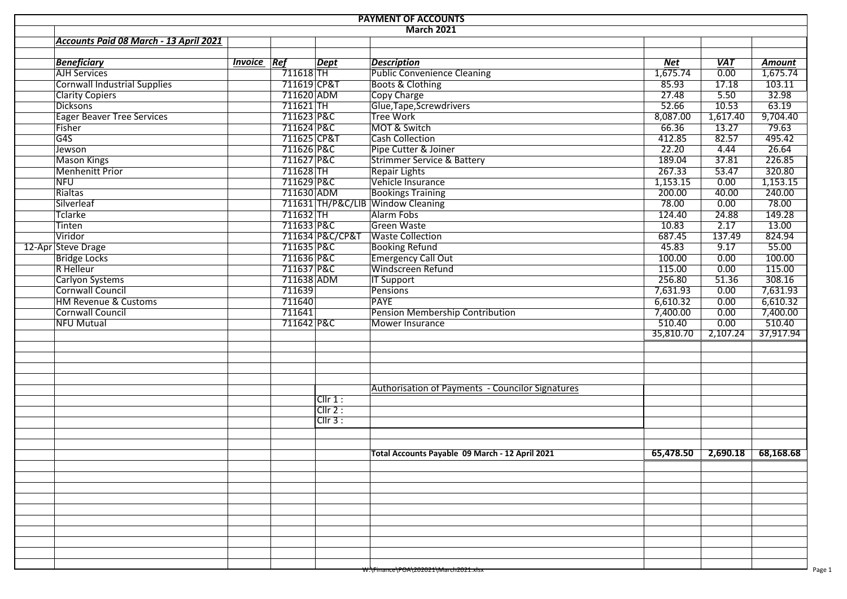| <b>PAYMENT OF ACCOUNTS</b> |                                        |                    |             |                 |                                                         |           |            |                      |  |  |  |  |  |  |
|----------------------------|----------------------------------------|--------------------|-------------|-----------------|---------------------------------------------------------|-----------|------------|----------------------|--|--|--|--|--|--|
|                            | March 2021                             |                    |             |                 |                                                         |           |            |                      |  |  |  |  |  |  |
|                            | Accounts Paid 08 March - 13 April 2021 |                    |             |                 |                                                         |           |            |                      |  |  |  |  |  |  |
|                            | <b>Beneficiary</b>                     | <b>Invoice Ref</b> |             | <b>Dept</b>     | <b>Description</b>                                      | Net       | <b>VAT</b> | Amount               |  |  |  |  |  |  |
|                            | <b>AJH Services</b>                    |                    | $711618$ TH |                 | <b>Public Convenience Cleaning</b>                      | 1,675.74  | 0.00       | $\frac{1}{1,675.74}$ |  |  |  |  |  |  |
|                            | <b>Cornwall Industrial Supplies</b>    |                    | 711619 CP&T |                 | Boots & Clothing                                        | 85.93     | 17.18      | 103.11               |  |  |  |  |  |  |
|                            | <b>Clarity Copiers</b>                 |                    | 711620 ADM  |                 | Copy Charge                                             | 27.48     | 5.50       | 32.98                |  |  |  |  |  |  |
|                            | <b>Dicksons</b>                        |                    | $711621$ TH |                 | Glue, Tape, Screwdrivers                                | 52.66     | 10.53      | 63.19                |  |  |  |  |  |  |
|                            | <b>Eager Beaver Tree Services</b>      |                    | 711623 P&C  |                 | Tree Work                                               | 8,087.00  | 1,617.40   | 9,704.40             |  |  |  |  |  |  |
|                            | Fisher                                 |                    | 711624 P&C  |                 | MOT & Switch                                            | 66.36     | 13.27      | 79.63                |  |  |  |  |  |  |
|                            | G4S                                    |                    | 711625 CP&T |                 | <b>Cash Collection</b>                                  | 412.85    | 82.57      | 495.42               |  |  |  |  |  |  |
|                            |                                        |                    | 711626 P&C  |                 | Pipe Cutter & Joiner                                    | 22.20     | 4.44       | 26.64                |  |  |  |  |  |  |
|                            | Jewson                                 |                    | 711627 P&C  |                 |                                                         | 189.04    | 37.81      | 226.85               |  |  |  |  |  |  |
|                            | <b>Mason Kings</b>                     |                    | $711628$ TH |                 | <b>Strimmer Service &amp; Battery</b>                   | 267.33    | 53.47      |                      |  |  |  |  |  |  |
|                            | <b>Menhenitt Prior</b>                 |                    |             |                 | <b>Repair Lights</b>                                    |           |            | 320.80               |  |  |  |  |  |  |
|                            | <b>NFU</b>                             |                    | 711629 P&C  |                 | Vehicle Insurance                                       | 1,153.15  | 0.00       | 1,153.15             |  |  |  |  |  |  |
|                            | Rialtas                                |                    | 711630 ADM  |                 | <b>Bookings Training</b>                                | 200.00    | 40.00      | 240.00               |  |  |  |  |  |  |
|                            | Silverleaf                             |                    |             |                 | 711631 TH/P&C/LIB Window Cleaning                       | 78.00     | 0.00       | 78.00                |  |  |  |  |  |  |
|                            | Tclarke                                |                    | 711632 TH   |                 | Alarm Fobs                                              | 124.40    | 24.88      | 149.28               |  |  |  |  |  |  |
|                            | Tinten                                 |                    | 711633 P&C  |                 | Green Waste                                             | 10.83     | 2.17       | 13.00                |  |  |  |  |  |  |
|                            | Viridor                                |                    |             | 711634 P&C/CP&T | <b>Waste Collection</b>                                 | 687.45    | 137.49     | 824.94               |  |  |  |  |  |  |
|                            | 12-Apr Steve Drage                     |                    | 711635 P&C  |                 | <b>Booking Refund</b>                                   | 45.83     | 9.17       | 55.00                |  |  |  |  |  |  |
|                            | <b>Bridge Locks</b>                    |                    | 711636 P&C  |                 | <b>Emergency Call Out</b>                               | 100.00    | 0.00       | 100.00               |  |  |  |  |  |  |
|                            | R Helleur                              |                    | 711637 P&C  |                 | Windscreen Refund                                       | 115.00    | 0.00       | 115.00               |  |  |  |  |  |  |
|                            | Carlyon Systems                        |                    | 711638 ADM  |                 | <b>IT Support</b>                                       | 256.80    | 51.36      | 308.16               |  |  |  |  |  |  |
|                            | Cornwall Council                       |                    | 711639      |                 | <b>Pensions</b>                                         | 7,631.93  | 0.00       | 7,631.93             |  |  |  |  |  |  |
|                            | <b>HM Revenue &amp; Customs</b>        |                    | 711640      |                 | <b>PAYE</b>                                             | 6,610.32  | 0.00       | 6,610.32             |  |  |  |  |  |  |
|                            | Cornwall Council                       |                    | 711641      |                 | Pension Membership Contribution                         | 7,400.00  | 0.00       | 7,400.00             |  |  |  |  |  |  |
|                            | NFU Mutual                             |                    | 711642 P&C  |                 | Mower Insurance                                         | 510.40    | 0.00       | 510.40               |  |  |  |  |  |  |
|                            |                                        |                    |             |                 |                                                         | 35,810.70 | 2,107.24   | 37,917.94            |  |  |  |  |  |  |
|                            |                                        |                    |             |                 |                                                         |           |            |                      |  |  |  |  |  |  |
|                            |                                        |                    |             |                 | <b>Authorisation of Payments - Councilor Signatures</b> |           |            |                      |  |  |  |  |  |  |
|                            |                                        |                    |             | $Cllr 1$ :      |                                                         |           |            |                      |  |  |  |  |  |  |
|                            |                                        |                    |             | Clir 2:         |                                                         |           |            |                      |  |  |  |  |  |  |
|                            |                                        |                    |             | $CIIr3$ :       |                                                         |           |            |                      |  |  |  |  |  |  |
|                            |                                        |                    |             |                 |                                                         |           |            |                      |  |  |  |  |  |  |
|                            |                                        |                    |             |                 |                                                         |           |            |                      |  |  |  |  |  |  |
|                            |                                        |                    |             |                 | Total Accounts Payable 09 March - 12 April 2021         | 65,478.50 | 2,690.18   | 68,168.68            |  |  |  |  |  |  |
|                            |                                        |                    |             |                 |                                                         |           |            |                      |  |  |  |  |  |  |
|                            |                                        |                    |             |                 |                                                         |           |            |                      |  |  |  |  |  |  |
|                            |                                        |                    |             |                 |                                                         |           |            |                      |  |  |  |  |  |  |
|                            |                                        |                    |             |                 |                                                         |           |            |                      |  |  |  |  |  |  |
|                            |                                        |                    |             |                 |                                                         |           |            |                      |  |  |  |  |  |  |
|                            |                                        |                    |             |                 |                                                         |           |            |                      |  |  |  |  |  |  |
|                            |                                        |                    |             |                 |                                                         |           |            |                      |  |  |  |  |  |  |
|                            |                                        |                    |             |                 |                                                         |           |            |                      |  |  |  |  |  |  |
|                            |                                        |                    |             |                 |                                                         |           |            |                      |  |  |  |  |  |  |
|                            |                                        |                    |             |                 |                                                         |           |            |                      |  |  |  |  |  |  |
|                            |                                        |                    |             |                 | <del>W:\Finance\POA\202021\March2021.xisx</del>         |           |            |                      |  |  |  |  |  |  |